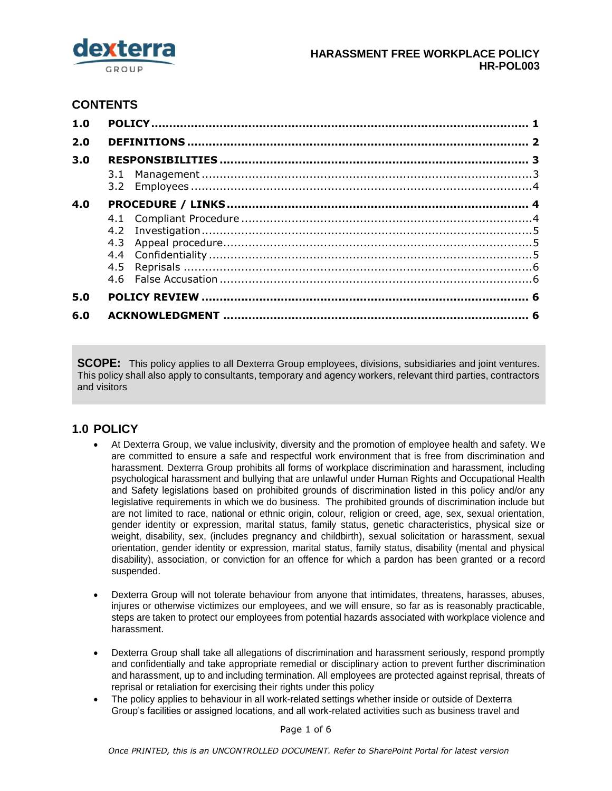

# **CONTENTS**

| 1.0 |  |  |  |
|-----|--|--|--|
| 2.0 |  |  |  |
| 3.0 |  |  |  |
|     |  |  |  |
| 4.0 |  |  |  |
|     |  |  |  |
|     |  |  |  |
|     |  |  |  |
| 5.0 |  |  |  |
| 6.0 |  |  |  |

**SCOPE:** This policy applies to all Dexterra Group employees, divisions, subsidiaries and joint ventures. This policy shall also apply to consultants, temporary and agency workers, relevant third parties, contractors and visitors

# <span id="page-0-0"></span>**1.0 POLICY**

- At Dexterra Group, we value inclusivity, diversity and the promotion of employee health and safety. We are committed to ensure a safe and respectful work environment that is free from discrimination and harassment. Dexterra Group prohibits all forms of workplace discrimination and harassment, including psychological harassment and bullying that are unlawful under Human Rights and Occupational Health and Safety legislations based on prohibited grounds of discrimination listed in this policy and/or any legislative requirements in which we do business. The prohibited grounds of discrimination include but are not limited to race, national or ethnic origin, colour, religion or creed, age, sex, sexual orientation, gender identity or expression, marital status, family status, genetic characteristics, physical size or weight, disability, sex, (includes pregnancy and childbirth), sexual solicitation or harassment, sexual orientation, gender identity or expression, marital status, family status, disability (mental and physical disability), association, or conviction for an offence for which a pardon has been granted or a record suspended.
- Dexterra Group will not tolerate behaviour from anyone that intimidates, threatens, harasses, abuses, injures or otherwise victimizes our employees, and we will ensure, so far as is reasonably practicable, steps are taken to protect our employees from potential hazards associated with workplace violence and harassment.
- Dexterra Group shall take all allegations of discrimination and harassment seriously, respond promptly and confidentially and take appropriate remedial or disciplinary action to prevent further discrimination and harassment, up to and including termination. All employees are protected against reprisal, threats of reprisal or retaliation for exercising their rights under this policy
- The policy applies to behaviour in all work-related settings whether inside or outside of Dexterra Group's facilities or assigned locations, and all work-related activities such as business travel and

Page 1 of 6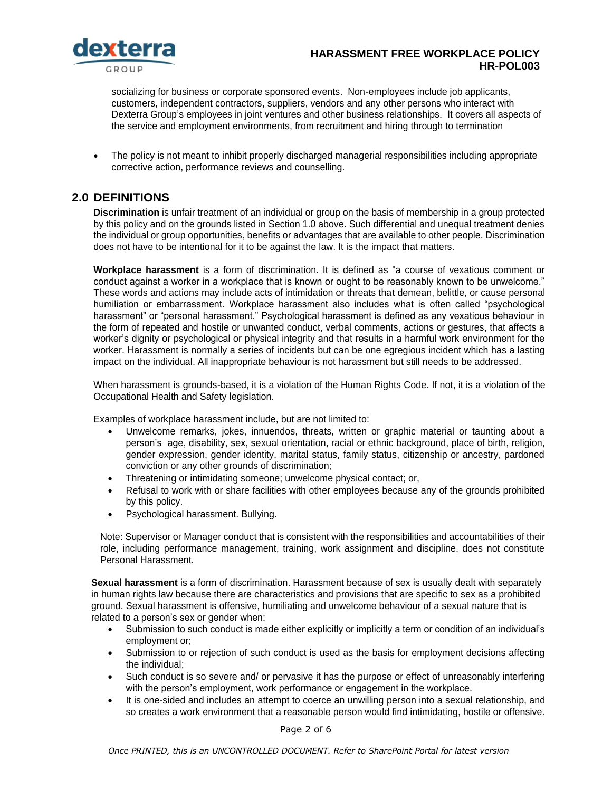

### **HARASSMENT FREE WORKPLACE POLICY HR-POL003**

socializing for business or corporate sponsored events. Non-employees include job applicants, customers, independent contractors, suppliers, vendors and any other persons who interact with Dexterra Group's employees in joint ventures and other business relationships. It covers all aspects of the service and employment environments, from recruitment and hiring through to termination

• The policy is not meant to inhibit properly discharged managerial responsibilities including appropriate corrective action, performance reviews and counselling.

## <span id="page-1-0"></span>**2.0 DEFINITIONS**

**Discrimination** is unfair treatment of an individual or group on the basis of membership in a group protected by this policy and on the grounds listed in Section 1.0 above. Such differential and unequal treatment denies the individual or group opportunities, benefits or advantages that are available to other people. Discrimination does not have to be intentional for it to be against the law. It is the impact that matters.

**Workplace harassment** is a form of discrimination. It is defined as "a course of vexatious comment or conduct against a worker in a workplace that is known or ought to be reasonably known to be unwelcome." These words and actions may include acts of intimidation or threats that demean, belittle, or cause personal humiliation or embarrassment. Workplace harassment also includes what is often called "psychological harassment" or "personal harassment." Psychological harassment is defined as any vexatious behaviour in the form of repeated and hostile or unwanted conduct, verbal comments, actions or gestures, that affects a worker's dignity or psychological or physical integrity and that results in a harmful work environment for the worker. Harassment is normally a series of incidents but can be one egregious incident which has a lasting impact on the individual. All inappropriate behaviour is not harassment but still needs to be addressed.

When harassment is grounds-based, it is a violation of the Human Rights Code. If not, it is a violation of the Occupational Health and Safety legislation.

Examples of workplace harassment include, but are not limited to:

- Unwelcome remarks, jokes, innuendos, threats, written or graphic material or taunting about a person's age, disability, sex, sexual orientation, racial or ethnic background, place of birth, religion, gender expression, gender identity, marital status, family status, citizenship or ancestry, pardoned conviction or any other grounds of discrimination;
- Threatening or intimidating someone; unwelcome physical contact; or,
- Refusal to work with or share facilities with other employees because any of the grounds prohibited by this policy.
- Psychological harassment. Bullying.

Note: Supervisor or Manager conduct that is consistent with the responsibilities and accountabilities of their role, including performance management, training, work assignment and discipline, does not constitute Personal Harassment.

**Sexual harassment** is a form of discrimination. Harassment because of sex is usually dealt with separately in human rights law because there are characteristics and provisions that are specific to sex as a prohibited ground. Sexual harassment is offensive, humiliating and unwelcome behaviour of a sexual nature that is related to a person's sex or gender when:

- Submission to such conduct is made either explicitly or implicitly a term or condition of an individual's employment or;
- Submission to or rejection of such conduct is used as the basis for employment decisions affecting the individual;
- Such conduct is so severe and/ or pervasive it has the purpose or effect of unreasonably interfering with the person's employment, work performance or engagement in the workplace.
- It is one-sided and includes an attempt to coerce an unwilling person into a sexual relationship, and so creates a work environment that a reasonable person would find intimidating, hostile or offensive.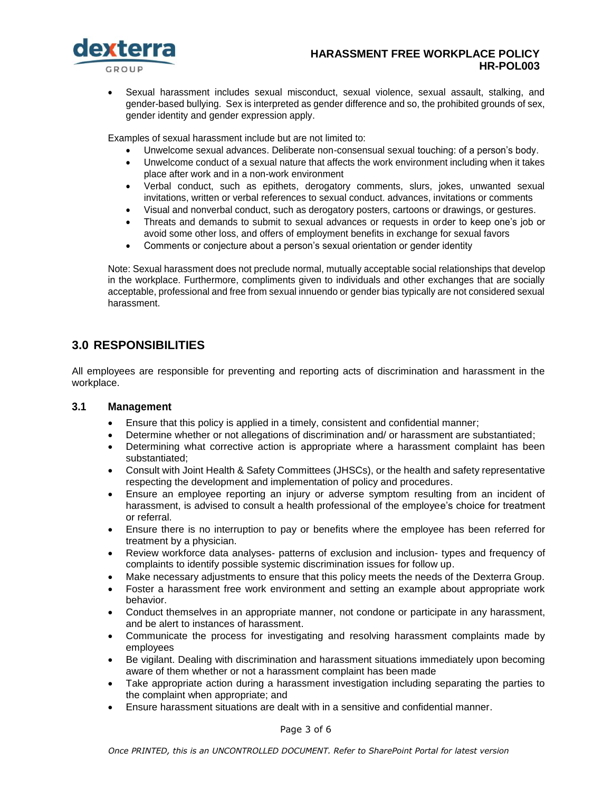

### **HARASSMENT FREE WORKPLACE POLICY HR-POL003**

 Sexual harassment includes sexual misconduct, sexual violence, sexual assault, stalking, and gender-based bullying. Sex is interpreted as gender difference and so, the prohibited grounds of sex, gender identity and gender expression apply.

Examples of sexual harassment include but are not limited to:

- Unwelcome sexual advances. Deliberate non-consensual sexual touching: of a person's body.
- Unwelcome conduct of a sexual nature that affects the work environment including when it takes place after work and in a non-work environment
- Verbal conduct, such as epithets, derogatory comments, slurs, jokes, unwanted sexual invitations, written or verbal references to sexual conduct. advances, invitations or comments
- Visual and nonverbal conduct, such as derogatory posters, cartoons or drawings, or gestures.
- Threats and demands to submit to sexual advances or requests in order to keep one's job or avoid some other loss, and offers of employment benefits in exchange for sexual favors
- Comments or conjecture about a person's sexual orientation or gender identity

Note: Sexual harassment does not preclude normal, mutually acceptable social relationships that develop in the workplace. Furthermore, compliments given to individuals and other exchanges that are socially acceptable, professional and free from sexual innuendo or gender bias typically are not considered sexual harassment.

# <span id="page-2-0"></span>**3.0 RESPONSIBILITIES**

All employees are responsible for preventing and reporting acts of discrimination and harassment in the workplace.

#### <span id="page-2-1"></span>**3.1 Management**

- Ensure that this policy is applied in a timely, consistent and confidential manner;
- Determine whether or not allegations of discrimination and/ or harassment are substantiated;
- Determining what corrective action is appropriate where a harassment complaint has been substantiated;
- Consult with Joint Health & Safety Committees (JHSCs), or the health and safety representative respecting the development and implementation of policy and procedures.
- Ensure an employee reporting an injury or adverse symptom resulting from an incident of harassment, is advised to consult a health professional of the employee's choice for treatment or referral.
- Ensure there is no interruption to pay or benefits where the employee has been referred for treatment by a physician.
- Review workforce data analyses- patterns of exclusion and inclusion- types and frequency of complaints to identify possible systemic discrimination issues for follow up.
- Make necessary adjustments to ensure that this policy meets the needs of the Dexterra Group.
- Foster a harassment free work environment and setting an example about appropriate work behavior.
- Conduct themselves in an appropriate manner, not condone or participate in any harassment, and be alert to instances of harassment.
- Communicate the process for investigating and resolving harassment complaints made by employees
- Be vigilant. Dealing with discrimination and harassment situations immediately upon becoming aware of them whether or not a harassment complaint has been made
- Take appropriate action during a harassment investigation including separating the parties to the complaint when appropriate; and
- Ensure harassment situations are dealt with in a sensitive and confidential manner.

Page 3 of 6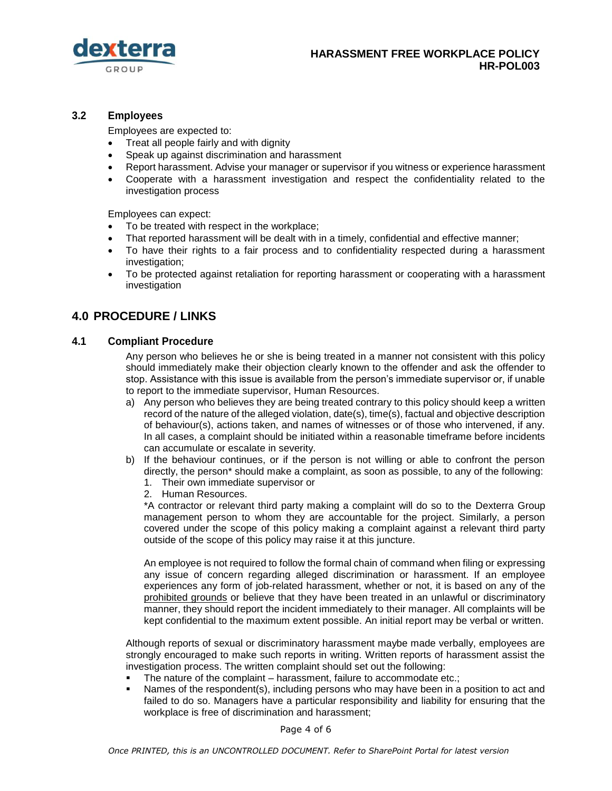

### <span id="page-3-0"></span>**3.2 Employees**

Employees are expected to:

- Treat all people fairly and with dignity
- Speak up against discrimination and harassment
- Report harassment. Advise your manager or supervisor if you witness or experience harassment
- Cooperate with a harassment investigation and respect the confidentiality related to the investigation process

Employees can expect:

- To be treated with respect in the workplace;
- That reported harassment will be dealt with in a timely, confidential and effective manner;
- To have their rights to a fair process and to confidentiality respected during a harassment investigation;
- To be protected against retaliation for reporting harassment or cooperating with a harassment investigation

# <span id="page-3-1"></span>**4.0 PROCEDURE / LINKS**

#### <span id="page-3-2"></span>**4.1 Compliant Procedure**

Any person who believes he or she is being treated in a manner not consistent with this policy should immediately make their objection clearly known to the offender and ask the offender to stop. Assistance with this issue is available from the person's immediate supervisor or, if unable to report to the immediate supervisor, Human Resources.

- a) Any person who believes they are being treated contrary to this policy should keep a written record of the nature of the alleged violation, date(s), time(s), factual and objective description of behaviour(s), actions taken, and names of witnesses or of those who intervened, if any. In all cases, a complaint should be initiated within a reasonable timeframe before incidents can accumulate or escalate in severity.
- b) If the behaviour continues, or if the person is not willing or able to confront the person directly, the person\* should make a complaint, as soon as possible, to any of the following:
	- 1. Their own immediate supervisor or
	- 2. Human Resources.

\*A contractor or relevant third party making a complaint will do so to the Dexterra Group management person to whom they are accountable for the project. Similarly, a person covered under the scope of this policy making a complaint against a relevant third party outside of the scope of this policy may raise it at this juncture.

An employee is not required to follow the formal chain of command when filing or expressing any issue of concern regarding alleged discrimination or harassment. If an employee experiences any form of job-related harassment, whether or not, it is based on any of the prohibited grounds or believe that they have been treated in an unlawful or discriminatory manner, they should report the incident immediately to their manager. All complaints will be kept confidential to the maximum extent possible. An initial report may be verbal or written.

Although reports of sexual or discriminatory harassment maybe made verbally, employees are strongly encouraged to make such reports in writing. Written reports of harassment assist the investigation process. The written complaint should set out the following:

- The nature of the complaint harassment, failure to accommodate etc.;
- Names of the respondent(s), including persons who may have been in a position to act and failed to do so. Managers have a particular responsibility and liability for ensuring that the workplace is free of discrimination and harassment;

Page 4 of 6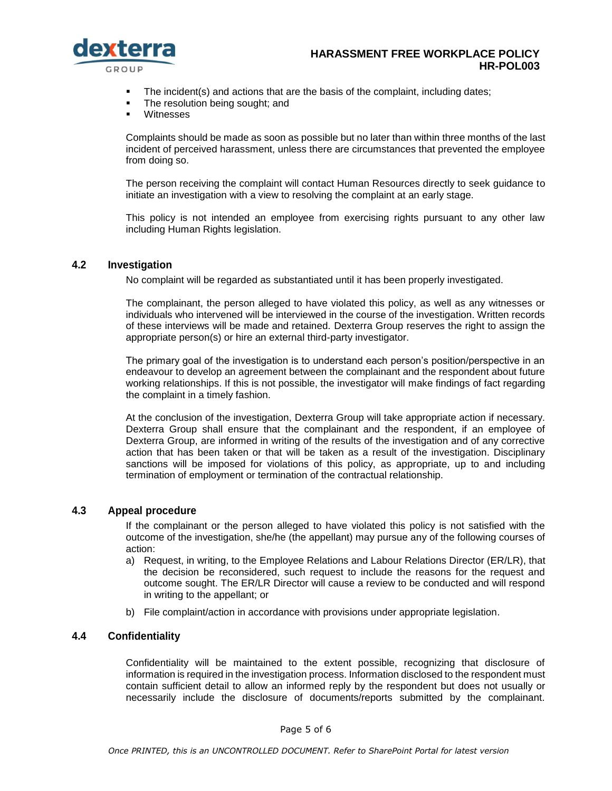

#### **HARASSMENT FREE WORKPLACE POLICY HR-POL003**

- The incident(s) and actions that are the basis of the complaint, including dates;
- The resolution being sought; and
- Witnesses

Complaints should be made as soon as possible but no later than within three months of the last incident of perceived harassment, unless there are circumstances that prevented the employee from doing so.

The person receiving the complaint will contact Human Resources directly to seek guidance to initiate an investigation with a view to resolving the complaint at an early stage.

This policy is not intended an employee from exercising rights pursuant to any other law including Human Rights legislation.

#### <span id="page-4-0"></span>**4.2 Investigation**

No complaint will be regarded as substantiated until it has been properly investigated.

The complainant, the person alleged to have violated this policy, as well as any witnesses or individuals who intervened will be interviewed in the course of the investigation. Written records of these interviews will be made and retained. Dexterra Group reserves the right to assign the appropriate person(s) or hire an external third-party investigator.

The primary goal of the investigation is to understand each person's position/perspective in an endeavour to develop an agreement between the complainant and the respondent about future working relationships. If this is not possible, the investigator will make findings of fact regarding the complaint in a timely fashion.

At the conclusion of the investigation, Dexterra Group will take appropriate action if necessary. Dexterra Group shall ensure that the complainant and the respondent, if an employee of Dexterra Group, are informed in writing of the results of the investigation and of any corrective action that has been taken or that will be taken as a result of the investigation. Disciplinary sanctions will be imposed for violations of this policy, as appropriate, up to and including termination of employment or termination of the contractual relationship.

### <span id="page-4-1"></span>**4.3 Appeal procedure**

If the complainant or the person alleged to have violated this policy is not satisfied with the outcome of the investigation, she/he (the appellant) may pursue any of the following courses of action:

- a) Request, in writing, to the Employee Relations and Labour Relations Director (ER/LR), that the decision be reconsidered, such request to include the reasons for the request and outcome sought. The ER/LR Director will cause a review to be conducted and will respond in writing to the appellant; or
- b) File complaint/action in accordance with provisions under appropriate legislation.

#### <span id="page-4-2"></span>**4.4 Confidentiality**

Confidentiality will be maintained to the extent possible, recognizing that disclosure of information is required in the investigation process. Information disclosed to the respondent must contain sufficient detail to allow an informed reply by the respondent but does not usually or necessarily include the disclosure of documents/reports submitted by the complainant.